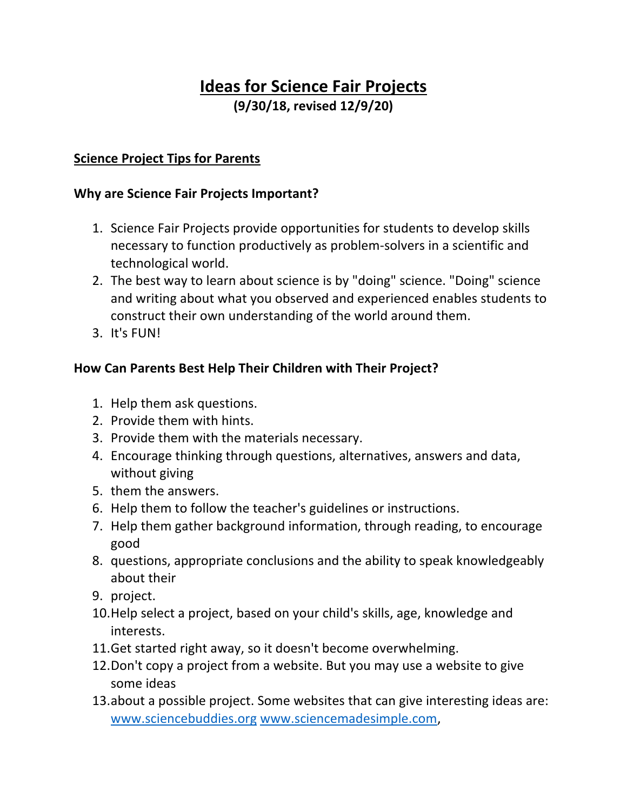# **Ideas for Science Fair Projects (9/30/18, revised 12/9/20)**

### **Science Project Tips for Parents**

#### **Why are Science Fair Projects Important?**

- 1. Science Fair Projects provide opportunities for students to develop skills necessary to function productively as problem-solvers in a scientific and technological world.
- 2. The best way to learn about science is by "doing" science. "Doing" science and writing about what you observed and experienced enables students to construct their own understanding of the world around them.
- 3. It's FUN!

#### **How Can Parents Best Help Their Children with Their Project?**

- 1. Help them ask questions.
- 2. Provide them with hints.
- 3. Provide them with the materials necessary.
- 4. Encourage thinking through questions, alternatives, answers and data, without giving
- 5. them the answers.
- 6. Help them to follow the teacher's guidelines or instructions.
- 7. Help them gather background information, through reading, to encourage good
- 8. questions, appropriate conclusions and the ability to speak knowledgeably about their
- 9. project.
- 10.Help select a project, based on your child's skills, age, knowledge and interests.
- 11.Get started right away, so it doesn't become overwhelming.
- 12.Don't copy a project from a website. But you may use a website to give some ideas
- 13.about a possible project. Some websites that can give interesting ideas are: www.sciencebuddies.org www.sciencemadesimple.com,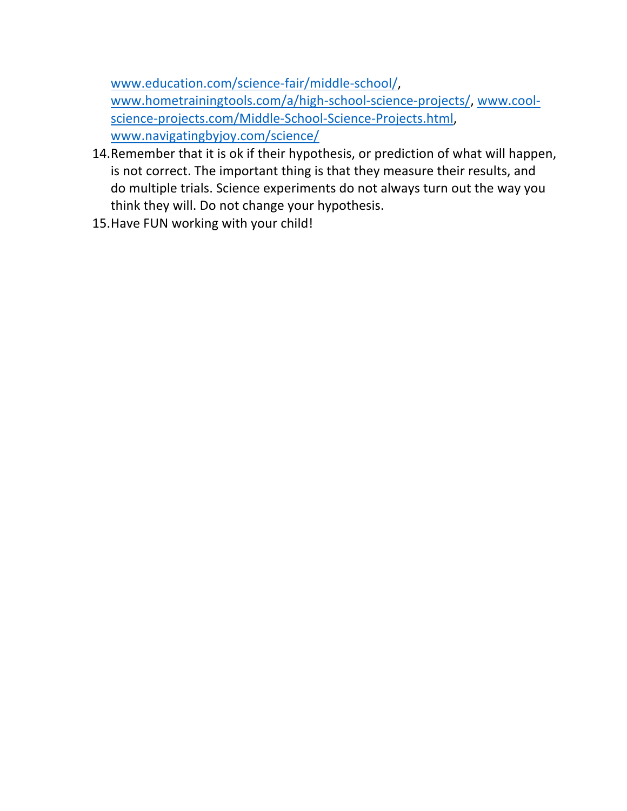www.education.com/science-fair/middle-school/, www.hometrainingtools.com/a/high-school-science-projects/, www.coolscience-projects.com/Middle-School-Science-Projects.html, www.navigatingbyjoy.com/science/

- 14.Remember that it is ok if their hypothesis, or prediction of what will happen, is not correct. The important thing is that they measure their results, and do multiple trials. Science experiments do not always turn out the way you think they will. Do not change your hypothesis.
- 15.Have FUN working with your child!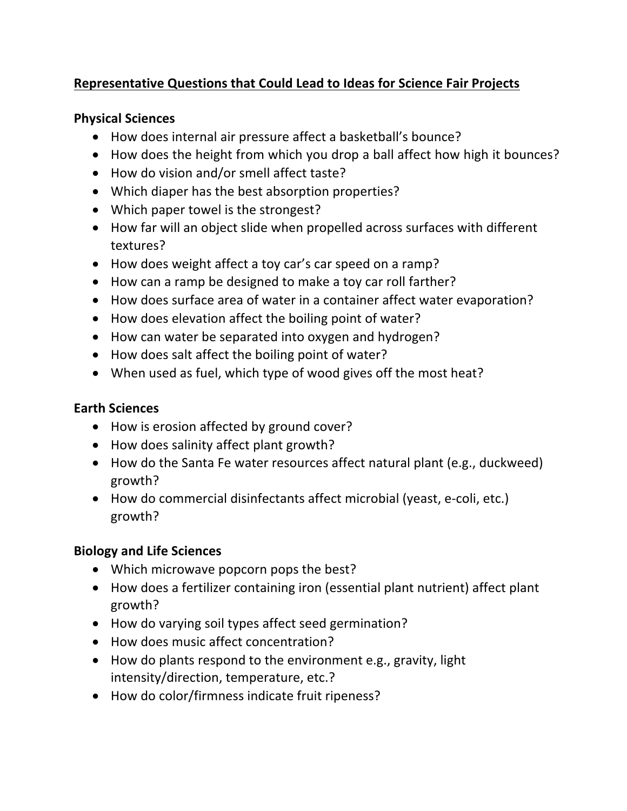# **Representative Questions that Could Lead to Ideas for Science Fair Projects**

#### **Physical Sciences**

- How does internal air pressure affect a basketball's bounce?
- How does the height from which you drop a ball affect how high it bounces?
- How do vision and/or smell affect taste?
- Which diaper has the best absorption properties?
- Which paper towel is the strongest?
- How far will an object slide when propelled across surfaces with different textures?
- How does weight affect a toy car's car speed on a ramp?
- How can a ramp be designed to make a toy car roll farther?
- How does surface area of water in a container affect water evaporation?
- How does elevation affect the boiling point of water?
- How can water be separated into oxygen and hydrogen?
- How does salt affect the boiling point of water?
- When used as fuel, which type of wood gives off the most heat?

#### **Earth Sciences**

- How is erosion affected by ground cover?
- How does salinity affect plant growth?
- How do the Santa Fe water resources affect natural plant (e.g., duckweed) growth?
- How do commercial disinfectants affect microbial (yeast, e-coli, etc.) growth?

### **Biology and Life Sciences**

- Which microwave popcorn pops the best?
- How does a fertilizer containing iron (essential plant nutrient) affect plant growth?
- How do varying soil types affect seed germination?
- How does music affect concentration?
- How do plants respond to the environment e.g., gravity, light intensity/direction, temperature, etc.?
- How do color/firmness indicate fruit ripeness?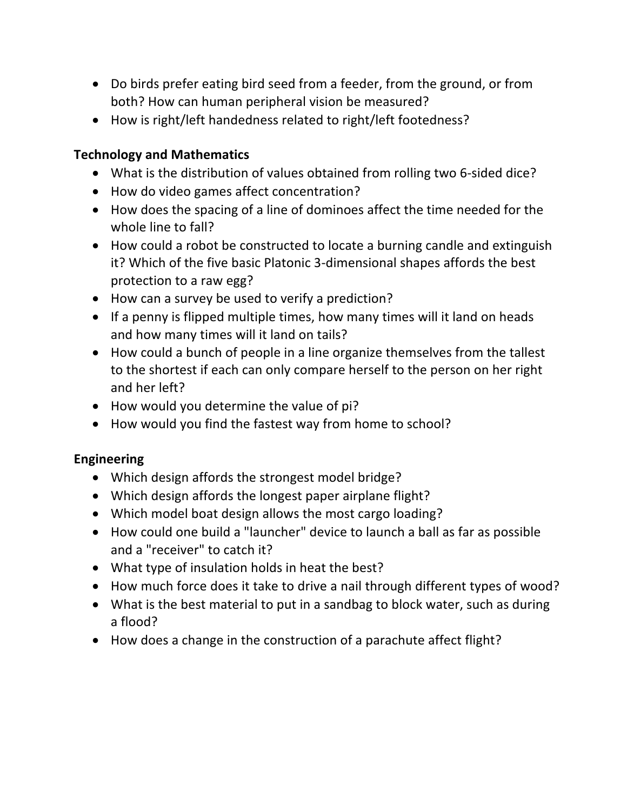- Do birds prefer eating bird seed from a feeder, from the ground, or from both? How can human peripheral vision be measured?
- How is right/left handedness related to right/left footedness?

### **Technology and Mathematics**

- What is the distribution of values obtained from rolling two 6-sided dice?
- How do video games affect concentration?
- How does the spacing of a line of dominoes affect the time needed for the whole line to fall?
- How could a robot be constructed to locate a burning candle and extinguish it? Which of the five basic Platonic 3-dimensional shapes affords the best protection to a raw egg?
- How can a survey be used to verify a prediction?
- If a penny is flipped multiple times, how many times will it land on heads and how many times will it land on tails?
- How could a bunch of people in a line organize themselves from the tallest to the shortest if each can only compare herself to the person on her right and her left?
- How would you determine the value of pi?
- How would you find the fastest way from home to school?

### **Engineering**

- Which design affords the strongest model bridge?
- Which design affords the longest paper airplane flight?
- Which model boat design allows the most cargo loading?
- How could one build a "launcher" device to launch a ball as far as possible and a "receiver" to catch it?
- What type of insulation holds in heat the best?
- How much force does it take to drive a nail through different types of wood?
- What is the best material to put in a sandbag to block water, such as during a flood?
- How does a change in the construction of a parachute affect flight?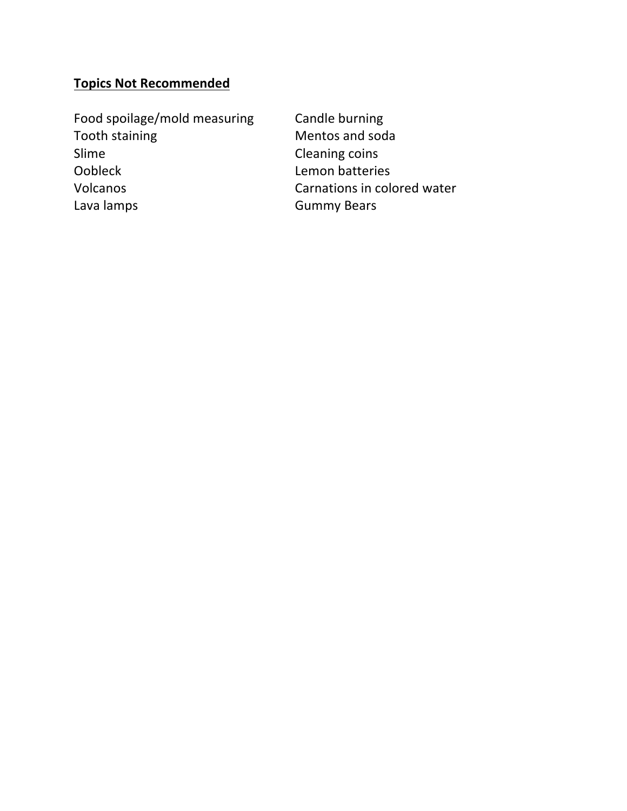# **Topics Not Recommended**

Food spoilage/mold measuring Candle burning Tooth staining **Mentos** and soda Slime Cleaning coins Oobleck Lemon batteries Volcanos Carnations in colored water Lava lamps **Gummy Bears**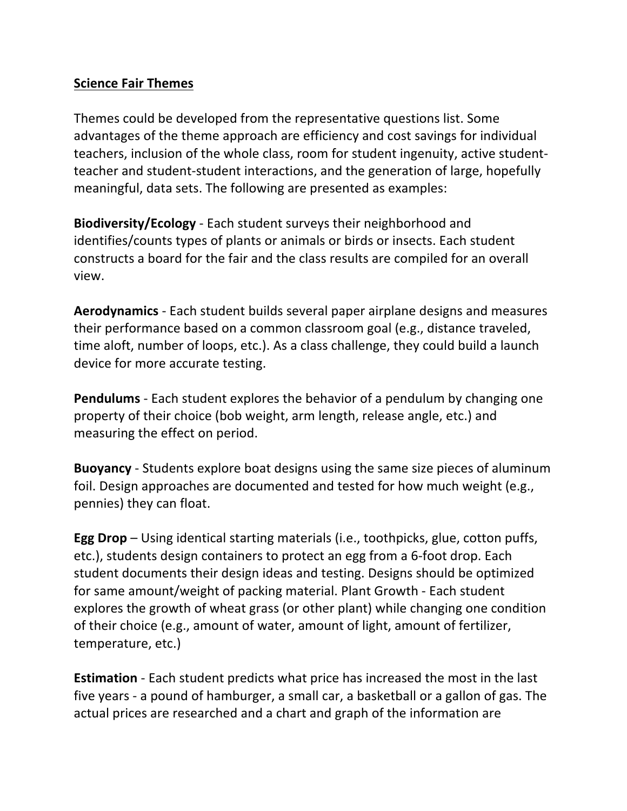#### **Science Fair Themes**

Themes could be developed from the representative questions list. Some advantages of the theme approach are efficiency and cost savings for individual teachers, inclusion of the whole class, room for student ingenuity, active studentteacher and student-student interactions, and the generation of large, hopefully meaningful, data sets. The following are presented as examples:

**Biodiversity/Ecology** - Each student surveys their neighborhood and identifies/counts types of plants or animals or birds or insects. Each student constructs a board for the fair and the class results are compiled for an overall view.

**Aerodynamics** - Each student builds several paper airplane designs and measures their performance based on a common classroom goal (e.g., distance traveled, time aloft, number of loops, etc.). As a class challenge, they could build a launch device for more accurate testing.

**Pendulums** - Each student explores the behavior of a pendulum by changing one property of their choice (bob weight, arm length, release angle, etc.) and measuring the effect on period.

**Buoyancy** - Students explore boat designs using the same size pieces of aluminum foil. Design approaches are documented and tested for how much weight (e.g., pennies) they can float.

**Egg Drop** – Using identical starting materials (i.e., toothpicks, glue, cotton puffs, etc.), students design containers to protect an egg from a 6-foot drop. Each student documents their design ideas and testing. Designs should be optimized for same amount/weight of packing material. Plant Growth - Each student explores the growth of wheat grass (or other plant) while changing one condition of their choice (e.g., amount of water, amount of light, amount of fertilizer, temperature, etc.)

**Estimation** - Each student predicts what price has increased the most in the last five years - a pound of hamburger, a small car, a basketball or a gallon of gas. The actual prices are researched and a chart and graph of the information are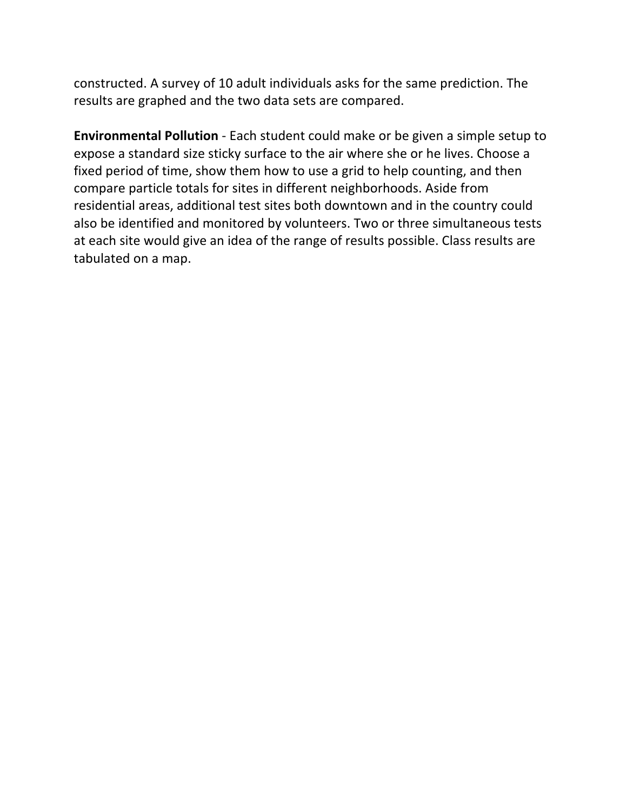constructed. A survey of 10 adult individuals asks for the same prediction. The results are graphed and the two data sets are compared.

**Environmental Pollution** - Each student could make or be given a simple setup to expose a standard size sticky surface to the air where she or he lives. Choose a fixed period of time, show them how to use a grid to help counting, and then compare particle totals for sites in different neighborhoods. Aside from residential areas, additional test sites both downtown and in the country could also be identified and monitored by volunteers. Two or three simultaneous tests at each site would give an idea of the range of results possible. Class results are tabulated on a map.